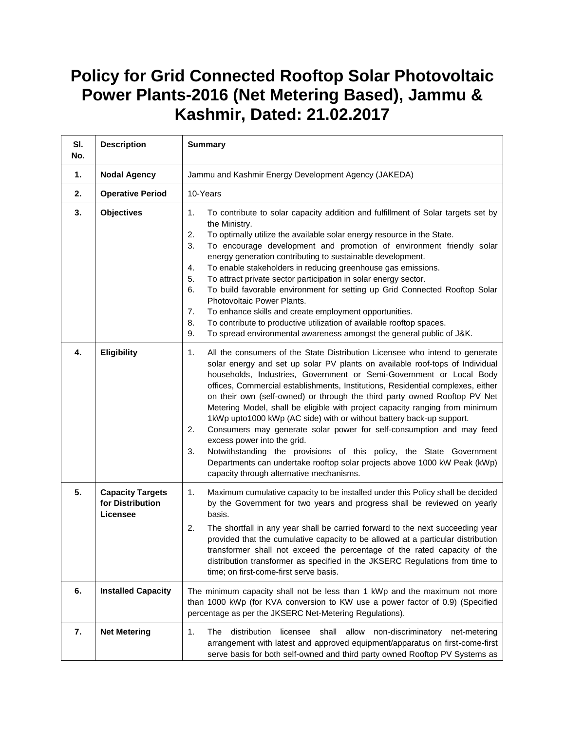## **Policy for Grid Connected Rooftop Solar Photovoltaic Power Plants-2016 (Net Metering Based), Jammu & Kashmir, Dated: 21.02.2017**

| SI.<br>No. | <b>Description</b>                                      | <b>Summary</b>                                                                                                                                                                                                                                                                                                                                                                                                                                                                                                                                                                                                                                                                                                                                                                                                                                                                      |
|------------|---------------------------------------------------------|-------------------------------------------------------------------------------------------------------------------------------------------------------------------------------------------------------------------------------------------------------------------------------------------------------------------------------------------------------------------------------------------------------------------------------------------------------------------------------------------------------------------------------------------------------------------------------------------------------------------------------------------------------------------------------------------------------------------------------------------------------------------------------------------------------------------------------------------------------------------------------------|
| 1.         | <b>Nodal Agency</b>                                     | Jammu and Kashmir Energy Development Agency (JAKEDA)                                                                                                                                                                                                                                                                                                                                                                                                                                                                                                                                                                                                                                                                                                                                                                                                                                |
| 2.         | <b>Operative Period</b>                                 | 10-Years                                                                                                                                                                                                                                                                                                                                                                                                                                                                                                                                                                                                                                                                                                                                                                                                                                                                            |
| 3.         | <b>Objectives</b>                                       | To contribute to solar capacity addition and fulfillment of Solar targets set by<br>1.<br>the Ministry.<br>To optimally utilize the available solar energy resource in the State.<br>2.<br>3.<br>To encourage development and promotion of environment friendly solar<br>energy generation contributing to sustainable development.<br>To enable stakeholders in reducing greenhouse gas emissions.<br>4.<br>To attract private sector participation in solar energy sector.<br>5.<br>To build favorable environment for setting up Grid Connected Rooftop Solar<br>6.<br>Photovoltaic Power Plants.<br>To enhance skills and create employment opportunities.<br>7.<br>To contribute to productive utilization of available rooftop spaces.<br>8.<br>To spread environmental awareness amongst the general public of J&K.<br>9.                                                    |
| 4.         | <b>Eligibility</b>                                      | 1.<br>All the consumers of the State Distribution Licensee who intend to generate<br>solar energy and set up solar PV plants on available roof-tops of Individual<br>households, Industries, Government or Semi-Government or Local Body<br>offices, Commercial establishments, Institutions, Residential complexes, either<br>on their own (self-owned) or through the third party owned Rooftop PV Net<br>Metering Model, shall be eligible with project capacity ranging from minimum<br>1kWp upto1000 kWp (AC side) with or without battery back-up support.<br>2.<br>Consumers may generate solar power for self-consumption and may feed<br>excess power into the grid.<br>3.<br>Notwithstanding the provisions of this policy, the State Government<br>Departments can undertake rooftop solar projects above 1000 kW Peak (kWp)<br>capacity through alternative mechanisms. |
| 5.         | <b>Capacity Targets</b><br>for Distribution<br>Licensee | Maximum cumulative capacity to be installed under this Policy shall be decided<br>1.<br>by the Government for two years and progress shall be reviewed on yearly<br>basis.<br>2.<br>The shortfall in any year shall be carried forward to the next succeeding year<br>provided that the cumulative capacity to be allowed at a particular distribution<br>transformer shall not exceed the percentage of the rated capacity of the<br>distribution transformer as specified in the JKSERC Regulations from time to<br>time; on first-come-first serve basis.                                                                                                                                                                                                                                                                                                                        |
| 6.         | <b>Installed Capacity</b>                               | The minimum capacity shall not be less than 1 kWp and the maximum not more<br>than 1000 kWp (for KVA conversion to KW use a power factor of 0.9) (Specified<br>percentage as per the JKSERC Net-Metering Regulations).                                                                                                                                                                                                                                                                                                                                                                                                                                                                                                                                                                                                                                                              |
| 7.         | <b>Net Metering</b>                                     | 1.<br>The<br>distribution<br>licensee<br>shall allow non-discriminatory<br>net-metering<br>arrangement with latest and approved equipment/apparatus on first-come-first<br>serve basis for both self-owned and third party owned Rooftop PV Systems as                                                                                                                                                                                                                                                                                                                                                                                                                                                                                                                                                                                                                              |